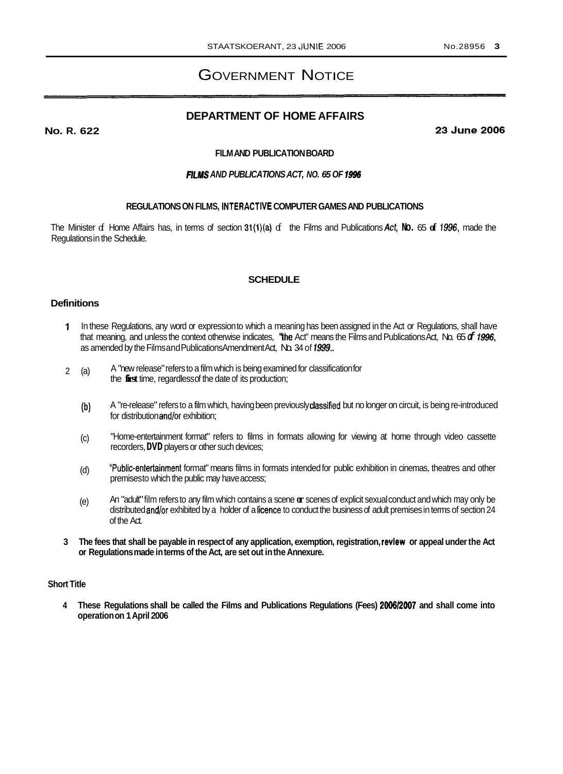# GOVERNMENT NOTICE

# **DEPARTMENT OF HOME AFFAIRS**

**No. R. 622** 

**23June2006** 

#### **FILM AND PUBLICATION BOARD**

## *RlMS AND PUBLICATIONS ACT, NO. 65 OF 1996*

#### **REGULATIONS ON FILMS, INTERACTIVE COMPUTER GAMES AND PUBLICATIONS**

The Minister of Home Affairs has, in terms of section 31(l)(a) of the Films and Publications Act, **No.** 65 **of 1996,** made the Regulations in the Schedule.

## **SCHEDULE**

## **Definitions**

- **1** In these Regulations, any word or expression to which a meaning has been assigned in the Act or Regulations, shall have that meaning, and unless the context otherwise indicates, The Act" means the Films and Publications Act, No. 65 *of* **7996,**  as amended by the Films and Publications Amendment Act, No. 34 of *1999..*
- 2 (a) A "new release" refers to a film which is being examined for classification for the **first** time, regardless of the date of its production;
	- **(b)** A "re-release" refers to a film which, having been previously classified but no longer on circuit, is being re-introduced for distribution and/or exhibition;
	- (c) "Home-entertainment format" refers to films in formats allowing for viewing at home through video cassette recorders, **DVD** players or other such devices;
	- "Public-entertainment format" means films in formats intended for public exhibition in cinemas, theatres and other premises to which the public may have access; (d)
	- (e) An "adult" film refers to any film which contains a scene **or** scenes of explicit sexual conduct and which may only be distributed and/or exhibited by a holder of a licence to conduct the business of adult premises in terms of section 24 of the Act.
- **3 The fees that shall be payable in respect of any application, exemption, registration, review or appeal under the Act or Regulations made in terms of the Act, are set out in the Annexure.**

#### **Short Title**

**4 These Regulations shall be called the Films and Publications Regulations (Fees)** *200612007* **and shall come into operation on 1 April 2006**